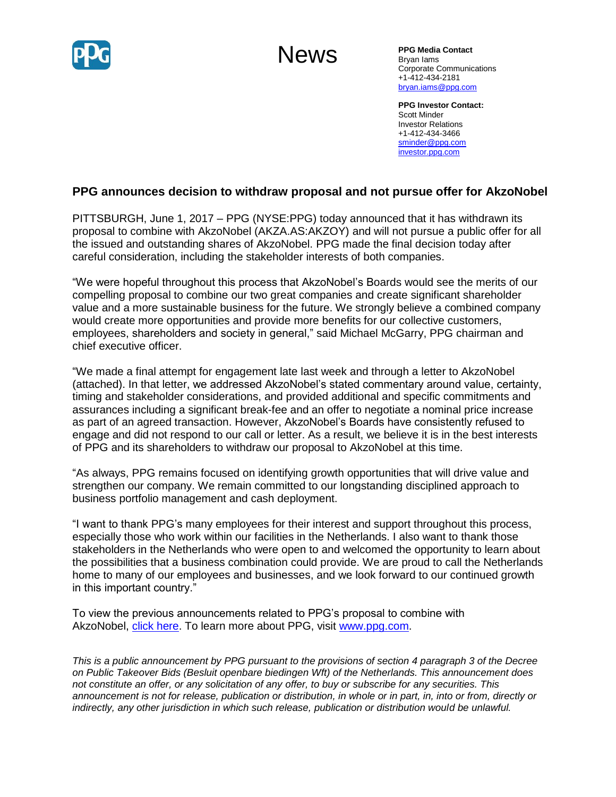

# News

**PPG Media Contact** Bryan Iams Corporate Communications +1-412-434-2181 [bryan.iams@ppg.com](mailto:bryan.iams@ppg.com)

**PPG Investor Contact:** Scott Minder Investor Relations +1-412-434-3466 [sminder@ppg.com](mailto:sminder@ppg.com) [investor.ppg.com](http://investor.ppg.com/)

## **PPG announces decision to withdraw proposal and not pursue offer for AkzoNobel**

PITTSBURGH, June 1, 2017 – PPG (NYSE:PPG) today announced that it has withdrawn its proposal to combine with AkzoNobel (AKZA.AS:AKZOY) and will not pursue a public offer for all the issued and outstanding shares of AkzoNobel. PPG made the final decision today after careful consideration, including the stakeholder interests of both companies.

"We were hopeful throughout this process that AkzoNobel's Boards would see the merits of our compelling proposal to combine our two great companies and create significant shareholder value and a more sustainable business for the future. We strongly believe a combined company would create more opportunities and provide more benefits for our collective customers, employees, shareholders and society in general," said Michael McGarry, PPG chairman and chief executive officer.

"We made a final attempt for engagement late last week and through a letter to AkzoNobel (attached). In that letter, we addressed AkzoNobel's stated commentary around value, certainty, timing and stakeholder considerations, and provided additional and specific commitments and assurances including a significant break-fee and an offer to negotiate a nominal price increase as part of an agreed transaction. However, AkzoNobel's Boards have consistently refused to engage and did not respond to our call or letter. As a result, we believe it is in the best interests of PPG and its shareholders to withdraw our proposal to AkzoNobel at this time.

"As always, PPG remains focused on identifying growth opportunities that will drive value and strengthen our company. We remain committed to our longstanding disciplined approach to business portfolio management and cash deployment.

"I want to thank PPG's many employees for their interest and support throughout this process, especially those who work within our facilities in the Netherlands. I also want to thank those stakeholders in the Netherlands who were open to and welcomed the opportunity to learn about the possibilities that a business combination could provide. We are proud to call the Netherlands home to many of our employees and businesses, and we look forward to our continued growth in this important country."

To view the previous announcements related to PPG's proposal to combine with AkzoNobel, [click here.](http://newsroom.ppg.com/ppgoverview) To learn more about PPG, visit [www.ppg.com.](http://www.ppg.com/)

*This is a public announcement by PPG pursuant to the provisions of section 4 paragraph 3 of the Decree on Public Takeover Bids (Besluit openbare biedingen Wft) of the Netherlands. This announcement does not constitute an offer, or any solicitation of any offer, to buy or subscribe for any securities. This announcement is not for release, publication or distribution, in whole or in part, in, into or from, directly or indirectly, any other jurisdiction in which such release, publication or distribution would be unlawful.*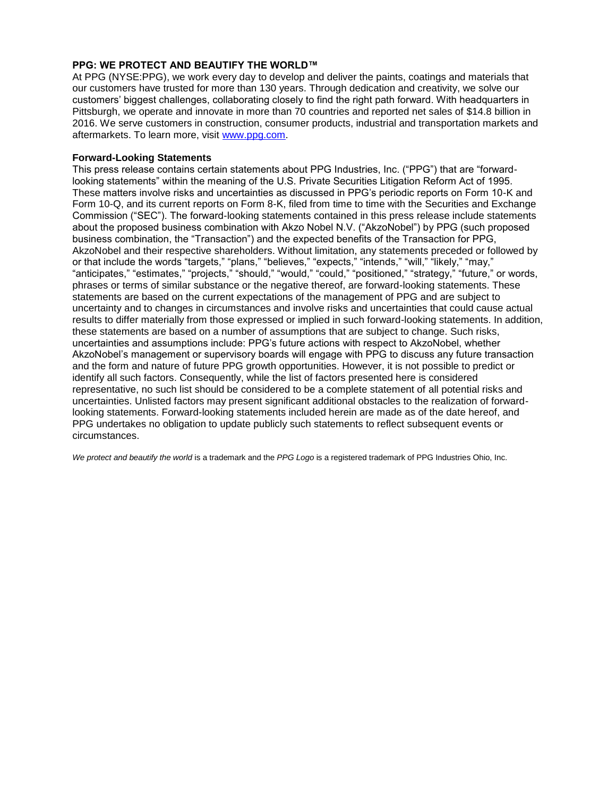#### **PPG: WE PROTECT AND BEAUTIFY THE WORLD™**

At PPG (NYSE:PPG), we work every day to develop and deliver the paints, coatings and materials that our customers have trusted for more than 130 years. Through dedication and creativity, we solve our customers' biggest challenges, collaborating closely to find the right path forward. With headquarters in Pittsburgh, we operate and innovate in more than 70 countries and reported net sales of \$14.8 billion in 2016. We serve customers in construction, consumer products, industrial and transportation markets and aftermarkets. To learn more, visit [www.ppg.com.](http://www.ppg.com/)

#### **Forward-Looking Statements**

This press release contains certain statements about PPG Industries, Inc. ("PPG") that are "forwardlooking statements" within the meaning of the U.S. Private Securities Litigation Reform Act of 1995. These matters involve risks and uncertainties as discussed in PPG's periodic reports on Form 10-K and Form 10-Q, and its current reports on Form 8-K, filed from time to time with the Securities and Exchange Commission ("SEC"). The forward-looking statements contained in this press release include statements about the proposed business combination with Akzo Nobel N.V. ("AkzoNobel") by PPG (such proposed business combination, the "Transaction") and the expected benefits of the Transaction for PPG, AkzoNobel and their respective shareholders. Without limitation, any statements preceded or followed by or that include the words "targets," "plans," "believes," "expects," "intends," "will," "likely," "may," "anticipates," "estimates," "projects," "should," "would," "could," "positioned," "strategy," "future," or words, phrases or terms of similar substance or the negative thereof, are forward-looking statements. These statements are based on the current expectations of the management of PPG and are subject to uncertainty and to changes in circumstances and involve risks and uncertainties that could cause actual results to differ materially from those expressed or implied in such forward-looking statements. In addition, these statements are based on a number of assumptions that are subject to change. Such risks, uncertainties and assumptions include: PPG's future actions with respect to AkzoNobel, whether AkzoNobel's management or supervisory boards will engage with PPG to discuss any future transaction and the form and nature of future PPG growth opportunities. However, it is not possible to predict or identify all such factors. Consequently, while the list of factors presented here is considered representative, no such list should be considered to be a complete statement of all potential risks and uncertainties. Unlisted factors may present significant additional obstacles to the realization of forwardlooking statements. Forward-looking statements included herein are made as of the date hereof, and PPG undertakes no obligation to update publicly such statements to reflect subsequent events or circumstances.

*We protect and beautify the world* is a trademark and the *PPG Logo* is a registered trademark of PPG Industries Ohio, Inc.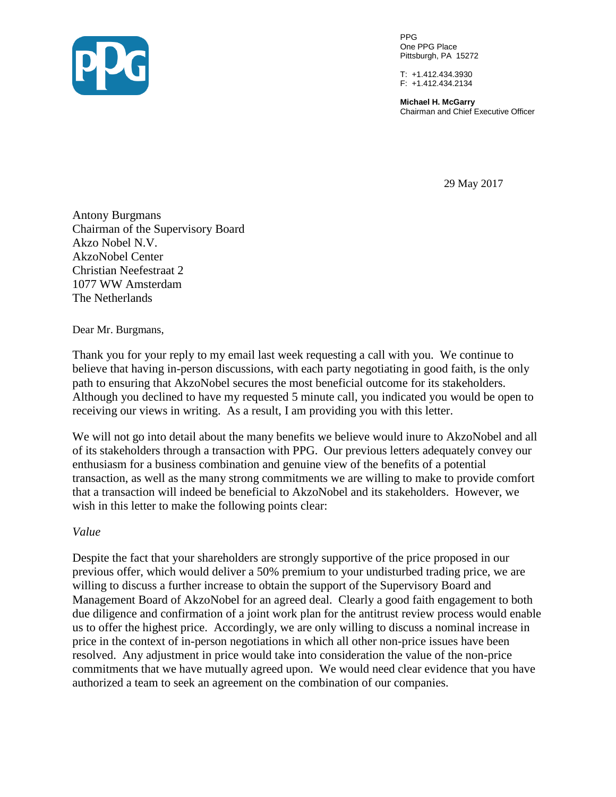

PPG One PPG Place Pittsburgh, PA 15272

T: +1.412.434.3930 F: +1.412.434.2134

**Michael H. McGarry** Chairman and Chief Executive Officer

29 May 2017

Antony Burgmans Chairman of the Supervisory Board Akzo Nobel N.V. AkzoNobel Center Christian Neefestraat 2 1077 WW Amsterdam The Netherlands

Dear Mr. Burgmans,

Thank you for your reply to my email last week requesting a call with you. We continue to believe that having in-person discussions, with each party negotiating in good faith, is the only path to ensuring that AkzoNobel secures the most beneficial outcome for its stakeholders. Although you declined to have my requested 5 minute call, you indicated you would be open to receiving our views in writing. As a result, I am providing you with this letter.

We will not go into detail about the many benefits we believe would inure to AkzoNobel and all of its stakeholders through a transaction with PPG. Our previous letters adequately convey our enthusiasm for a business combination and genuine view of the benefits of a potential transaction, as well as the many strong commitments we are willing to make to provide comfort that a transaction will indeed be beneficial to AkzoNobel and its stakeholders. However, we wish in this letter to make the following points clear:

*Value*

Despite the fact that your shareholders are strongly supportive of the price proposed in our previous offer, which would deliver a 50% premium to your undisturbed trading price, we are willing to discuss a further increase to obtain the support of the Supervisory Board and Management Board of AkzoNobel for an agreed deal. Clearly a good faith engagement to both due diligence and confirmation of a joint work plan for the antitrust review process would enable us to offer the highest price. Accordingly, we are only willing to discuss a nominal increase in price in the context of in-person negotiations in which all other non-price issues have been resolved. Any adjustment in price would take into consideration the value of the non-price commitments that we have mutually agreed upon. We would need clear evidence that you have authorized a team to seek an agreement on the combination of our companies.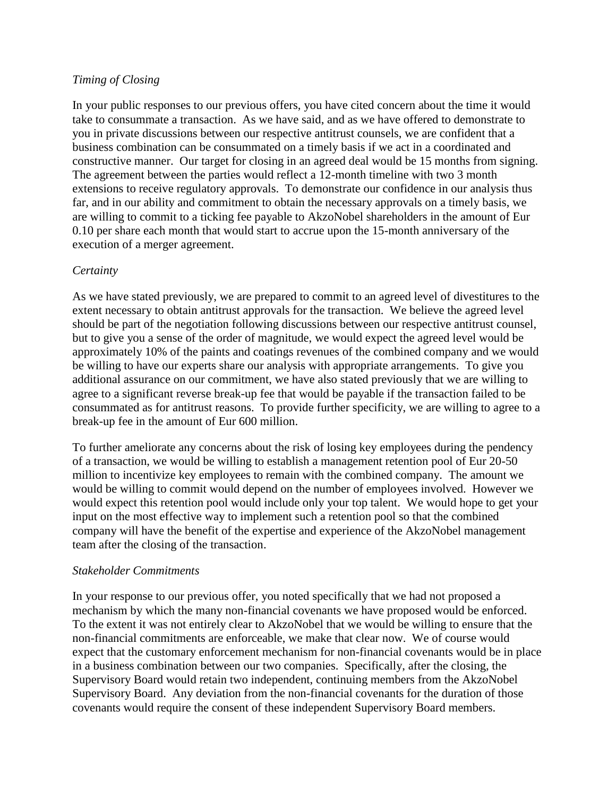## *Timing of Closing*

In your public responses to our previous offers, you have cited concern about the time it would take to consummate a transaction. As we have said, and as we have offered to demonstrate to you in private discussions between our respective antitrust counsels, we are confident that a business combination can be consummated on a timely basis if we act in a coordinated and constructive manner. Our target for closing in an agreed deal would be 15 months from signing. The agreement between the parties would reflect a 12-month timeline with two 3 month extensions to receive regulatory approvals. To demonstrate our confidence in our analysis thus far, and in our ability and commitment to obtain the necessary approvals on a timely basis, we are willing to commit to a ticking fee payable to AkzoNobel shareholders in the amount of Eur 0.10 per share each month that would start to accrue upon the 15-month anniversary of the execution of a merger agreement.

### *Certainty*

As we have stated previously, we are prepared to commit to an agreed level of divestitures to the extent necessary to obtain antitrust approvals for the transaction. We believe the agreed level should be part of the negotiation following discussions between our respective antitrust counsel, but to give you a sense of the order of magnitude, we would expect the agreed level would be approximately 10% of the paints and coatings revenues of the combined company and we would be willing to have our experts share our analysis with appropriate arrangements. To give you additional assurance on our commitment, we have also stated previously that we are willing to agree to a significant reverse break-up fee that would be payable if the transaction failed to be consummated as for antitrust reasons. To provide further specificity, we are willing to agree to a break-up fee in the amount of Eur 600 million.

To further ameliorate any concerns about the risk of losing key employees during the pendency of a transaction, we would be willing to establish a management retention pool of Eur 20-50 million to incentivize key employees to remain with the combined company. The amount we would be willing to commit would depend on the number of employees involved. However we would expect this retention pool would include only your top talent. We would hope to get your input on the most effective way to implement such a retention pool so that the combined company will have the benefit of the expertise and experience of the AkzoNobel management team after the closing of the transaction.

#### *Stakeholder Commitments*

In your response to our previous offer, you noted specifically that we had not proposed a mechanism by which the many non-financial covenants we have proposed would be enforced. To the extent it was not entirely clear to AkzoNobel that we would be willing to ensure that the non-financial commitments are enforceable, we make that clear now. We of course would expect that the customary enforcement mechanism for non-financial covenants would be in place in a business combination between our two companies. Specifically, after the closing, the Supervisory Board would retain two independent, continuing members from the AkzoNobel Supervisory Board. Any deviation from the non-financial covenants for the duration of those covenants would require the consent of these independent Supervisory Board members.